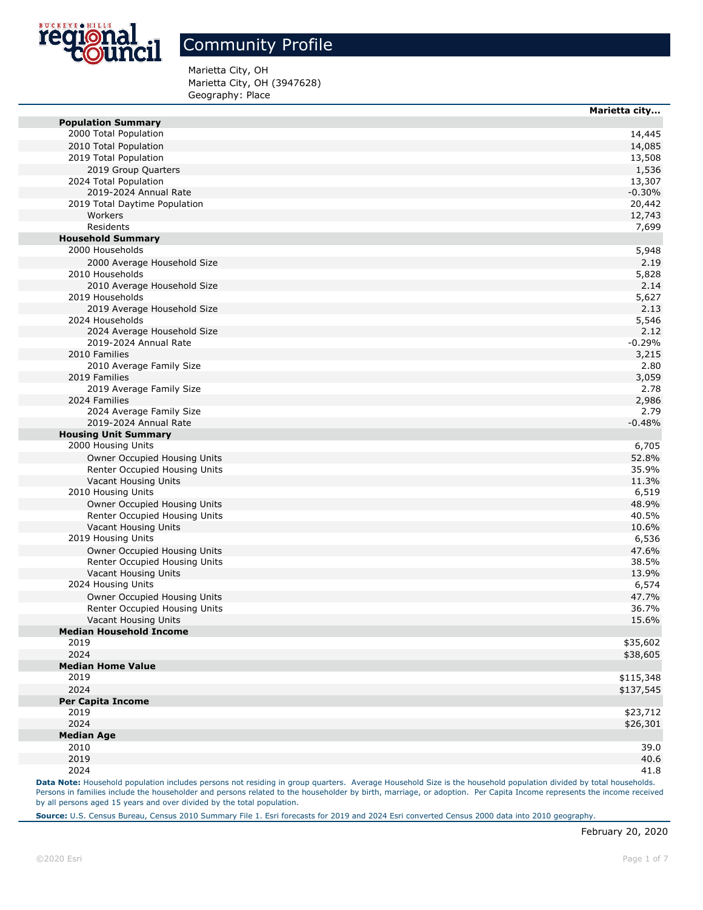

Marietta City, OH Marietta City, OH (3947628) Geography: Place

|                                            | marietta city   |
|--------------------------------------------|-----------------|
| <b>Population Summary</b>                  |                 |
| 2000 Total Population                      | 14,445          |
| 2010 Total Population                      | 14,085          |
| 2019 Total Population                      | 13,508          |
| 2019 Group Quarters                        | 1,536           |
| 2024 Total Population                      | 13,307          |
| 2019-2024 Annual Rate                      | $-0.30%$        |
| 2019 Total Daytime Population<br>Workers   | 20,442          |
| Residents                                  | 12,743<br>7,699 |
| <b>Household Summary</b>                   |                 |
| 2000 Households                            | 5,948           |
| 2000 Average Household Size                | 2.19            |
| 2010 Households                            | 5,828           |
| 2010 Average Household Size                | 2.14            |
| 2019 Households                            | 5,627           |
| 2019 Average Household Size                | 2.13            |
| 2024 Households                            | 5,546           |
| 2024 Average Household Size                | 2.12            |
| 2019-2024 Annual Rate                      | $-0.29%$        |
| 2010 Families                              | 3,215           |
| 2010 Average Family Size                   | 2.80            |
| 2019 Families                              | 3,059           |
| 2019 Average Family Size                   | 2.78            |
| 2024 Families                              | 2,986           |
| 2024 Average Family Size                   | 2.79            |
| 2019-2024 Annual Rate                      | $-0.48%$        |
| <b>Housing Unit Summary</b>                |                 |
| 2000 Housing Units                         | 6,705           |
| Owner Occupied Housing Units               | 52.8%           |
| Renter Occupied Housing Units              | 35.9%           |
| Vacant Housing Units                       | 11.3%           |
| 2010 Housing Units                         | 6,519           |
| Owner Occupied Housing Units               | 48.9%           |
| Renter Occupied Housing Units              | 40.5%           |
| Vacant Housing Units<br>2019 Housing Units | 10.6%           |
| Owner Occupied Housing Units               | 6,536<br>47.6%  |
| Renter Occupied Housing Units              | 38.5%           |
| Vacant Housing Units                       | 13.9%           |
| 2024 Housing Units                         | 6,574           |
| Owner Occupied Housing Units               | 47.7%           |
| Renter Occupied Housing Units              | 36.7%           |
| Vacant Housing Units                       | 15.6%           |
| <b>Median Household Income</b>             |                 |
| 2019                                       | \$35,602        |
| 2024                                       | \$38,605        |
| <b>Median Home Value</b>                   |                 |
| 2019                                       | \$115,348       |
| 2024                                       | \$137,545       |
| <b>Per Capita Income</b>                   |                 |
| 2019                                       | \$23,712        |
| 2024                                       | \$26,301        |
| <b>Median Age</b>                          |                 |
| 2010                                       | 39.0            |
| 2019                                       | 40.6            |
| 2024                                       | 41.8            |

Data Note: Household population includes persons not residing in group quarters. Average Household Size is the household population divided by total households. Persons in families include the householder and persons related to the householder by birth, marriage, or adoption. Per Capita Income represents the income received by all persons aged 15 years and over divided by the total population.

**Source:** U.S. Census Bureau, Census 2010 Summary File 1. Esri forecasts for 2019 and 2024 Esri converted Census 2000 data into 2010 geography.

**Marietta city...**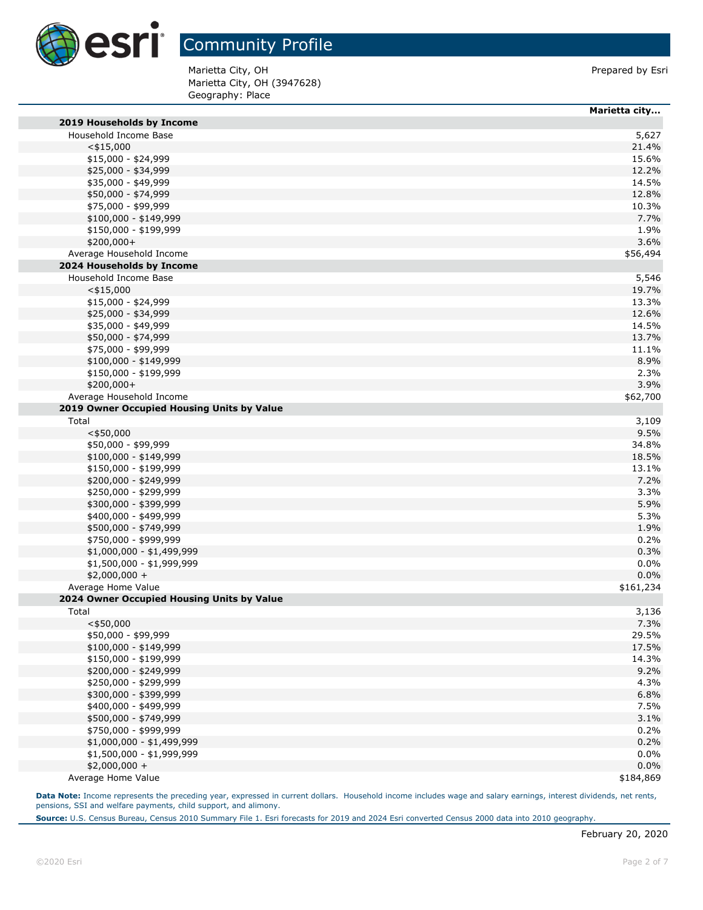

Marietta City, OH (3947628) Geography: Place Marietta City, OH **Prepared by Esri** Prepared by Esri

|                                            | Marietta city |
|--------------------------------------------|---------------|
| 2019 Households by Income                  |               |
| Household Income Base                      | 5,627         |
| $<$ \$15,000                               | 21.4%         |
| $$15,000 - $24,999$                        | 15.6%         |
| \$25,000 - \$34,999                        | 12.2%         |
| \$35,000 - \$49,999                        | 14.5%         |
| \$50,000 - \$74,999                        | 12.8%         |
| \$75,000 - \$99,999                        | 10.3%         |
| $$100,000 - $149,999$                      | 7.7%          |
| \$150,000 - \$199,999                      | 1.9%          |
| $$200,000+$                                | 3.6%          |
| Average Household Income                   | \$56,494      |
| 2024 Households by Income                  |               |
| Household Income Base                      | 5,546         |
| $<$ \$15,000                               | 19.7%         |
| $$15,000 - $24,999$                        | 13.3%         |
| \$25,000 - \$34,999                        | 12.6%         |
| \$35,000 - \$49,999                        | 14.5%         |
| \$50,000 - \$74,999                        | 13.7%         |
| \$75,000 - \$99,999                        | 11.1%         |
| $$100,000 - $149,999$                      | 8.9%          |
| \$150,000 - \$199,999                      | 2.3%          |
| $$200,000+$                                | 3.9%          |
| Average Household Income                   | \$62,700      |
| 2019 Owner Occupied Housing Units by Value |               |
|                                            |               |
| Total                                      | 3,109         |
| $<$ \$50,000                               | 9.5%          |
| \$50,000 - \$99,999                        | 34.8%         |
| \$100,000 - \$149,999                      | 18.5%         |
| \$150,000 - \$199,999                      | 13.1%         |
| \$200,000 - \$249,999                      | 7.2%          |
| \$250,000 - \$299,999                      | 3.3%          |
| \$300,000 - \$399,999                      | 5.9%          |
| \$400,000 - \$499,999                      | 5.3%          |
| \$500,000 - \$749,999                      | 1.9%          |
| \$750,000 - \$999,999                      | 0.2%          |
| $$1,000,000 - $1,499,999$                  | 0.3%          |
| \$1,500,000 - \$1,999,999                  | $0.0\%$       |
| \$2,000,000 +                              | 0.0%          |
| Average Home Value                         | \$161,234     |
| 2024 Owner Occupied Housing Units by Value |               |
| Total                                      | 3,136         |
| $<$ \$50,000                               | 7.3%          |
| \$50,000 - \$99,999                        | 29.5%         |
| \$100,000 - \$149,999                      | 17.5%         |
| \$150,000 - \$199,999                      | 14.3%         |
| \$200,000 - \$249,999                      | 9.2%          |
| \$250,000 - \$299,999                      | 4.3%          |
| \$300,000 - \$399,999                      | 6.8%          |
| \$400,000 - \$499,999                      | 7.5%          |
| \$500,000 - \$749,999                      | 3.1%          |
| \$750,000 - \$999,999                      | 0.2%          |
| \$1,000,000 - \$1,499,999                  | 0.2%          |
| \$1,500,000 - \$1,999,999                  | $0.0\%$       |
| $$2,000,000 +$                             | 0.0%          |
| Average Home Value                         | \$184,869     |

Data Note: Income represents the preceding year, expressed in current dollars. Household income includes wage and salary earnings, interest dividends, net rents, pensions, SSI and welfare payments, child support, and alimony.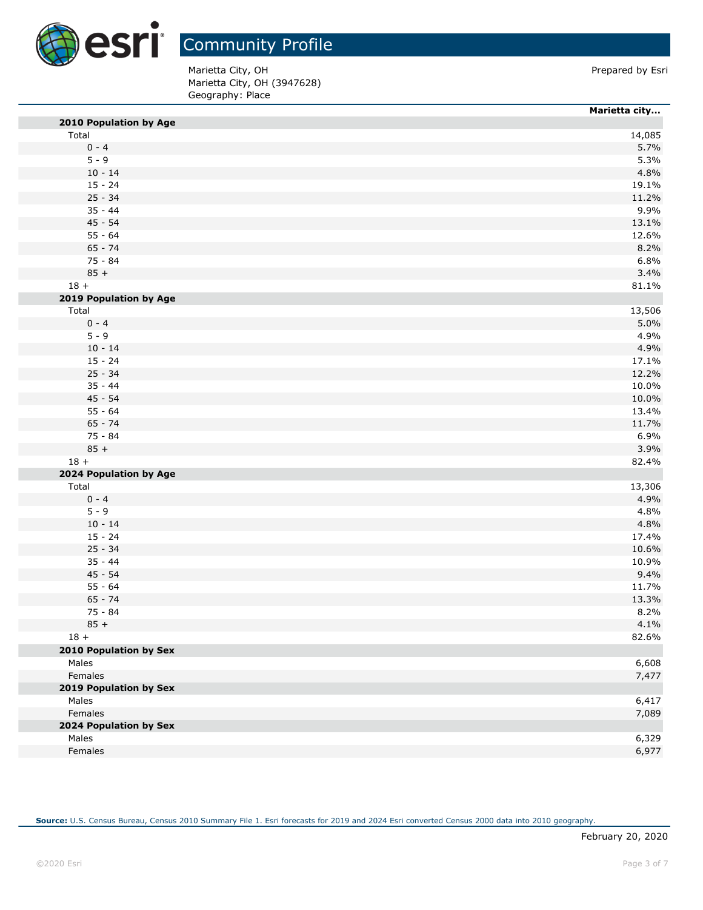

Marietta City, OH (3947628) Geography: Place Marietta City, OH **Prepared by Esri** 

|                        | Marietta city |
|------------------------|---------------|
| 2010 Population by Age |               |
| Total                  | 14,085        |
| $0 - 4$                | 5.7%          |
| $5 - 9$                | 5.3%          |
| $10 - 14$              | 4.8%          |
| $15 - 24$              | 19.1%         |
| $25 - 34$              | 11.2%         |
| $35 - 44$              | 9.9%          |
| $45 - 54$              | 13.1%         |
| $55 - 64$              | 12.6%         |
| $65 - 74$              | 8.2%          |
| 75 - 84                | 6.8%          |
| $85 +$                 | 3.4%          |
| $18 +$                 | 81.1%         |
|                        |               |
| 2019 Population by Age |               |
| Total                  | 13,506        |
| $0 - 4$                | 5.0%          |
| $5 - 9$                | 4.9%          |
| $10 - 14$              | 4.9%          |
| $15 - 24$              | 17.1%         |
| $25 - 34$              | 12.2%         |
| $35 - 44$              | 10.0%         |
| $45 - 54$              | 10.0%         |
| $55 - 64$              | 13.4%         |
| $65 - 74$              | 11.7%         |
| $75 - 84$              | 6.9%          |
| $85 +$                 | 3.9%          |
| $18 +$                 | 82.4%         |
| 2024 Population by Age |               |
| Total                  | 13,306        |
| $0 - 4$                | 4.9%          |
| $5 - 9$                | 4.8%          |
| $10 - 14$              | 4.8%          |
| $15 - 24$              | 17.4%         |
| $25 - 34$              | 10.6%         |
| $35 - 44$              | 10.9%         |
| $45 - 54$              | 9.4%          |
| $55 - 64$              | 11.7%         |
| $65 - 74$              | 13.3%         |
| 75 - 84                | 8.2%          |
| $85 +$                 | 4.1%          |
| $18 +$                 | 82.6%         |
| 2010 Population by Sex |               |
| Males                  | 6,608         |
| Females                | 7,477         |
| 2019 Population by Sex |               |
| Males                  | 6,417         |
| Females                | 7,089         |
|                        |               |
| 2024 Population by Sex |               |
| Males                  | 6,329         |
| Females                | 6,977         |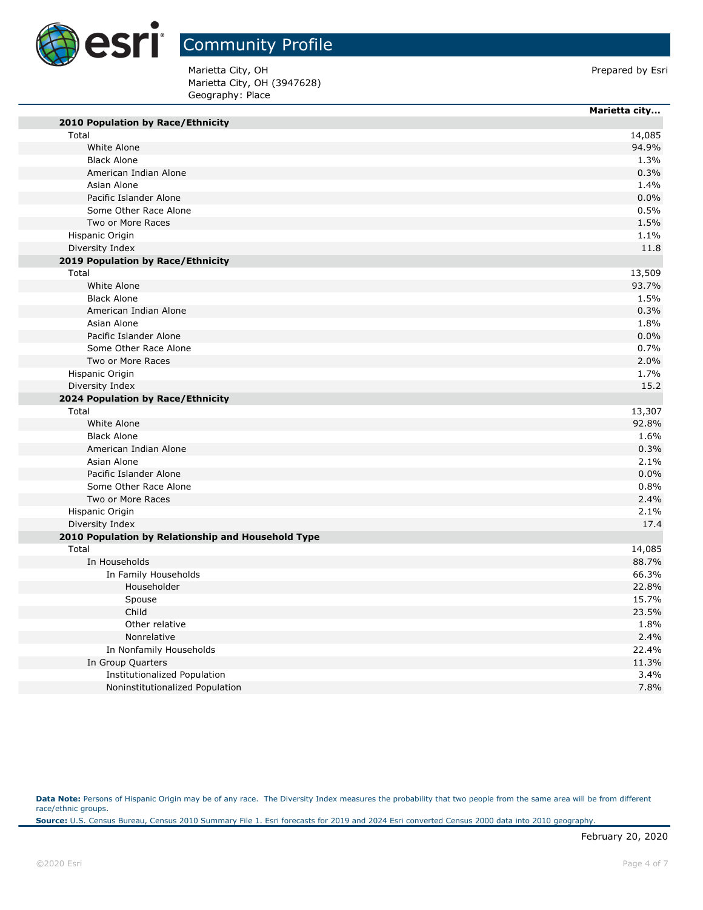

T.

г

## Community Profile

Marietta City, OH **Prepared by Esri** Marietta City, OH (3947628) Geography: Place

|                                                    | Marietta city |
|----------------------------------------------------|---------------|
| 2010 Population by Race/Ethnicity                  |               |
| Total                                              | 14,085        |
| White Alone                                        | 94.9%         |
| <b>Black Alone</b>                                 | 1.3%          |
| American Indian Alone                              | 0.3%          |
| Asian Alone                                        | 1.4%          |
| Pacific Islander Alone                             | 0.0%          |
| Some Other Race Alone                              | 0.5%          |
| Two or More Races                                  | 1.5%          |
| Hispanic Origin                                    | 1.1%          |
| Diversity Index                                    | 11.8          |
| 2019 Population by Race/Ethnicity                  |               |
| Total                                              | 13,509        |
| White Alone                                        | 93.7%         |
| <b>Black Alone</b>                                 | 1.5%          |
| American Indian Alone                              | 0.3%          |
| Asian Alone                                        | 1.8%          |
| Pacific Islander Alone                             | 0.0%          |
| Some Other Race Alone                              | 0.7%          |
| Two or More Races                                  | 2.0%          |
| Hispanic Origin                                    | 1.7%          |
| Diversity Index                                    | 15.2          |
| 2024 Population by Race/Ethnicity                  |               |
| Total                                              | 13,307        |
| White Alone                                        | 92.8%         |
| <b>Black Alone</b>                                 | 1.6%          |
| American Indian Alone                              | 0.3%          |
| Asian Alone                                        | 2.1%          |
| Pacific Islander Alone                             | 0.0%          |
| Some Other Race Alone                              | 0.8%          |
| Two or More Races                                  | 2.4%          |
| Hispanic Origin                                    | 2.1%          |
| Diversity Index                                    | 17.4          |
| 2010 Population by Relationship and Household Type |               |
| Total                                              | 14,085        |
| In Households                                      | 88.7%         |
| In Family Households                               | 66.3%         |
| Householder                                        | 22.8%         |
| Spouse                                             | 15.7%         |
| Child                                              | 23.5%         |
| Other relative                                     | 1.8%          |
| Nonrelative                                        | 2.4%          |
| In Nonfamily Households                            | 22.4%         |
| In Group Quarters                                  | 11.3%         |
| <b>Institutionalized Population</b>                | 3.4%          |
| Noninstitutionalized Population                    | 7.8%          |

Data Note: Persons of Hispanic Origin may be of any race. The Diversity Index measures the probability that two people from the same area will be from different race/ethnic groups.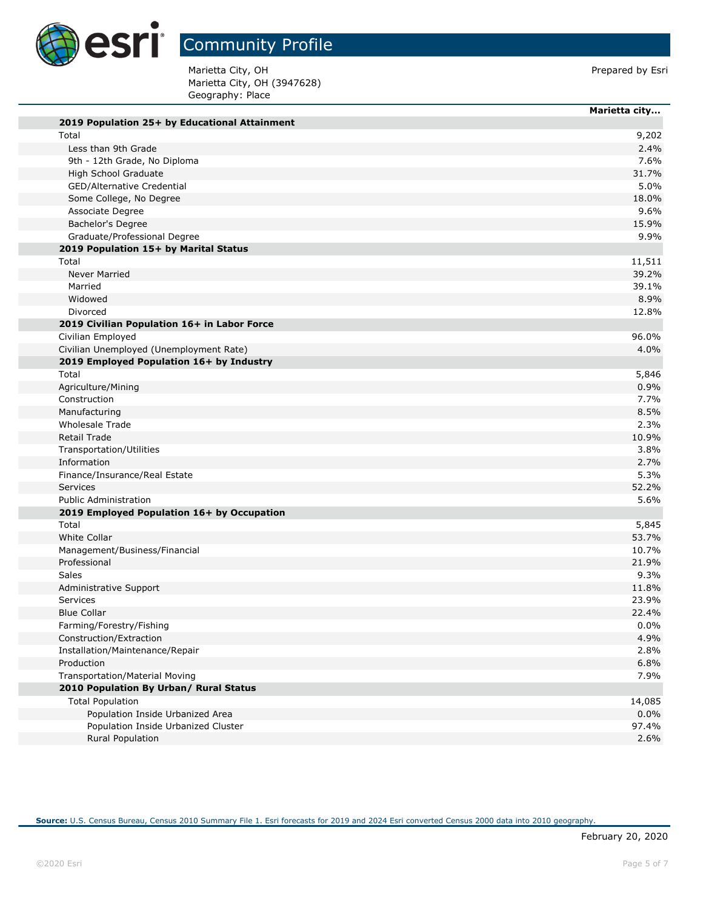

Marietta City, OH (3947628) Geography: Place Marietta City, OH **Prepared by Esri** 

|                                               | Marietta city |
|-----------------------------------------------|---------------|
| 2019 Population 25+ by Educational Attainment |               |
| Total                                         | 9,202         |
| Less than 9th Grade                           | 2.4%          |
| 9th - 12th Grade, No Diploma                  | 7.6%          |
| High School Graduate                          | 31.7%         |
| GED/Alternative Credential                    | 5.0%          |
| Some College, No Degree                       | 18.0%         |
| Associate Degree                              | 9.6%          |
| Bachelor's Degree                             | 15.9%         |
| Graduate/Professional Degree                  | 9.9%          |
| 2019 Population 15+ by Marital Status         |               |
| Total                                         | 11,511        |
| <b>Never Married</b>                          | 39.2%         |
| Married                                       | 39.1%         |
| Widowed                                       | 8.9%          |
| Divorced                                      | 12.8%         |
| 2019 Civilian Population 16+ in Labor Force   |               |
| Civilian Employed                             | 96.0%         |
| Civilian Unemployed (Unemployment Rate)       | 4.0%          |
| 2019 Employed Population 16+ by Industry      |               |
| Total                                         | 5,846         |
| Agriculture/Mining                            | 0.9%          |
| Construction                                  | 7.7%          |
| Manufacturing                                 | 8.5%          |
| <b>Wholesale Trade</b>                        | 2.3%          |
| Retail Trade                                  | 10.9%         |
| Transportation/Utilities                      | 3.8%          |
| Information                                   | 2.7%          |
| Finance/Insurance/Real Estate                 | 5.3%          |
| Services                                      | 52.2%         |
| <b>Public Administration</b>                  | 5.6%          |
| 2019 Employed Population 16+ by Occupation    |               |
| Total                                         | 5,845         |
| <b>White Collar</b>                           | 53.7%         |
| Management/Business/Financial                 | 10.7%         |
| Professional                                  | 21.9%         |
| Sales                                         | 9.3%          |
| Administrative Support                        | 11.8%         |
| Services                                      | 23.9%         |
| <b>Blue Collar</b>                            | 22.4%         |
| Farming/Forestry/Fishing                      | $0.0\%$       |
| Construction/Extraction                       | 4.9%          |
| Installation/Maintenance/Repair               | 2.8%          |
| Production                                    | 6.8%          |
| Transportation/Material Moving                | 7.9%          |
| 2010 Population By Urban/ Rural Status        |               |
| <b>Total Population</b>                       | 14,085        |
| Population Inside Urbanized Area              | 0.0%          |
| Population Inside Urbanized Cluster           | 97.4%         |
| Rural Population                              | 2.6%          |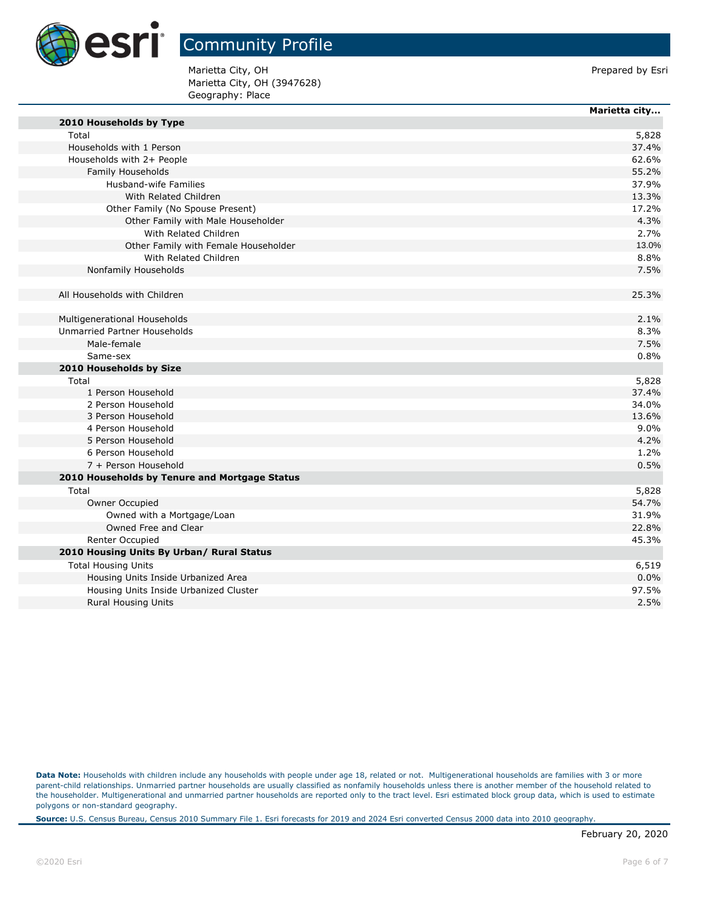

**Marietta city...**

Marietta City, OH **Prepared by Esri** Prepared by Esri Marietta City, OH (3947628) Geography: Place

| 2010 Households by Type                       |       |
|-----------------------------------------------|-------|
| Total                                         | 5,828 |
| Households with 1 Person                      | 37.4% |
| Households with 2+ People                     | 62.6% |
| Family Households                             | 55.2% |
| Husband-wife Families                         | 37.9% |
| With Related Children                         | 13.3% |
| Other Family (No Spouse Present)              | 17.2% |
| Other Family with Male Householder            | 4.3%  |
| With Related Children                         | 2.7%  |
| Other Family with Female Householder          | 13.0% |
| With Related Children                         | 8.8%  |
| Nonfamily Households                          | 7.5%  |
|                                               |       |
| All Households with Children                  | 25.3% |
|                                               |       |
| Multigenerational Households                  | 2.1%  |
| Unmarried Partner Households                  | 8.3%  |
| Male-female                                   | 7.5%  |
| Same-sex                                      | 0.8%  |
| 2010 Households by Size                       |       |
| Total                                         | 5,828 |
| 1 Person Household                            | 37.4% |
| 2 Person Household                            | 34.0% |
| 3 Person Household                            | 13.6% |
| 4 Person Household                            | 9.0%  |
| 5 Person Household                            | 4.2%  |
| 6 Person Household                            | 1.2%  |
| 7 + Person Household                          | 0.5%  |
| 2010 Households by Tenure and Mortgage Status |       |
| Total                                         | 5,828 |
| Owner Occupied                                | 54.7% |
| Owned with a Mortgage/Loan                    | 31.9% |
| Owned Free and Clear                          | 22.8% |
| <b>Renter Occupied</b>                        | 45.3% |
| 2010 Housing Units By Urban/ Rural Status     |       |
| <b>Total Housing Units</b>                    | 6,519 |
| Housing Units Inside Urbanized Area           | 0.0%  |
| Housing Units Inside Urbanized Cluster        | 97.5% |
| <b>Rural Housing Units</b>                    | 2.5%  |
|                                               |       |

Data Note: Households with children include any households with people under age 18, related or not. Multigenerational households are families with 3 or more parent-child relationships. Unmarried partner households are usually classified as nonfamily households unless there is another member of the household related to the householder. Multigenerational and unmarried partner households are reported only to the tract level. Esri estimated block group data, which is used to estimate polygons or non-standard geography.

**Source:** U.S. Census Bureau, Census 2010 Summary File 1. Esri forecasts for 2019 and 2024 Esri converted Census 2000 data into 2010 geography.